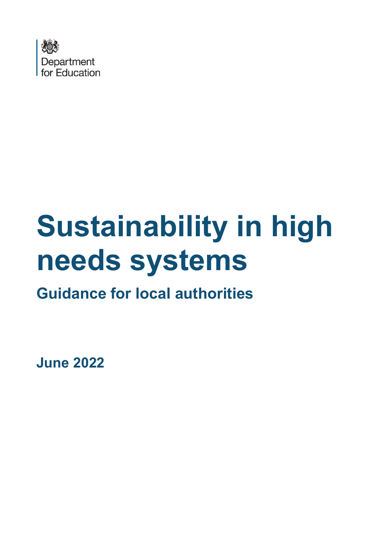

# **Sustainability in high needs systems**

**Guidance for local authorities** 

**June 2022**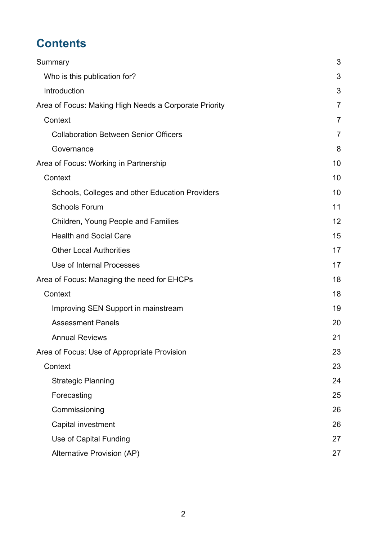# **Contents**

| Summary                                               | 3              |
|-------------------------------------------------------|----------------|
| Who is this publication for?                          | 3              |
| Introduction                                          | 3              |
| Area of Focus: Making High Needs a Corporate Priority | 7              |
| Context                                               | $\overline{7}$ |
| <b>Collaboration Between Senior Officers</b>          | $\overline{7}$ |
| Governance                                            | 8              |
| Area of Focus: Working in Partnership                 | 10             |
| Context                                               | 10             |
| Schools, Colleges and other Education Providers       | 10             |
| <b>Schools Forum</b>                                  | 11             |
| Children, Young People and Families                   | 12             |
| <b>Health and Social Care</b>                         | 15             |
| <b>Other Local Authorities</b>                        | 17             |
| Use of Internal Processes                             | 17             |
| Area of Focus: Managing the need for EHCPs            | 18             |
| Context                                               | 18             |
| Improving SEN Support in mainstream                   | 19             |
| <b>Assessment Panels</b>                              | 20             |
| <b>Annual Reviews</b>                                 | 21             |
| Area of Focus: Use of Appropriate Provision           | 23             |
| Context                                               | 23             |
| <b>Strategic Planning</b>                             | 24             |
| Forecasting                                           | 25             |
| Commissioning                                         | 26             |
| Capital investment                                    | 26             |
| Use of Capital Funding                                | 27             |
| Alternative Provision (AP)                            | 27             |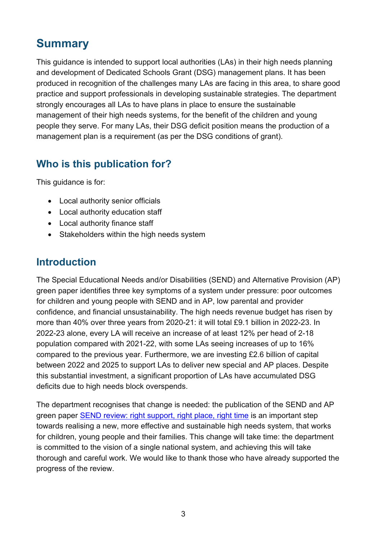# <span id="page-2-0"></span>**Summary**

This guidance is intended to support local authorities (LAs) in their high needs planning and development of Dedicated Schools Grant (DSG) management plans. It has been produced in recognition of the challenges many LAs are facing in this area, to share good practice and support professionals in developing sustainable strategies. The department strongly encourages all LAs to have plans in place to ensure the sustainable management of their high needs systems, for the benefit of the children and young people they serve. For many LAs, their DSG deficit position means the production of a management plan is a requirement (as per the DSG conditions of grant).

# <span id="page-2-1"></span>**Who is this publication for?**

This guidance is for:

- Local authority senior officials
- Local authority education staff
- Local authority finance staff
- Stakeholders within the high needs system

# <span id="page-2-2"></span>**Introduction**

The Special Educational Needs and/or Disabilities (SEND) and Alternative Provision (AP) green paper identifies three key symptoms of a system under pressure: poor outcomes for children and young people with SEND and in AP, low parental and provider confidence, and financial unsustainability. The high needs revenue budget has risen by more than 40% over three years from 2020-21: it will total £9.1 billion in 2022-23. In 2022-23 alone, every LA will receive an increase of at least 12% per head of 2-18 population compared with 2021-22, with some LAs seeing increases of up to 16% compared to the previous year. Furthermore, we are investing £2.6 billion of capital between 2022 and 2025 to support LAs to deliver new special and AP places. Despite this substantial investment, a significant proportion of LAs have accumulated DSG deficits due to high needs block overspends.

The department recognises that change is needed: the publication of the SEND and AP green paper [SEND review: right support, right place, right time](https://www.gov.uk/government/consultations/send-review-right-support-right-place-right-time) is an important step towards realising a new, more effective and sustainable high needs system, that works for children, young people and their families. This change will take time: the department is committed to the vision of a single national system, and achieving this will take thorough and careful work. We would like to thank those who have already supported the progress of the review.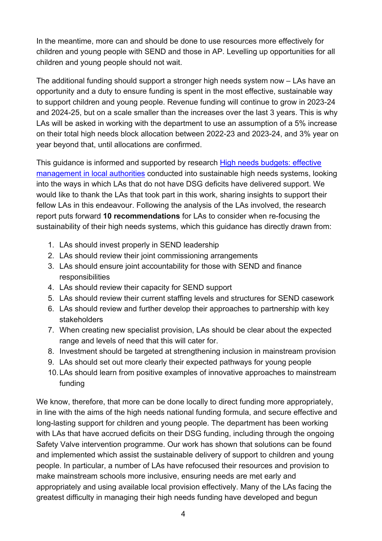In the meantime, more can and should be done to use resources more effectively for children and young people with SEND and those in AP. Levelling up opportunities for all children and young people should not wait.

The additional funding should support a stronger high needs system now – LAs have an opportunity and a duty to ensure funding is spent in the most effective, sustainable way to support children and young people. Revenue funding will continue to grow in 2023-24 and 2024-25, but on a scale smaller than the increases over the last 3 years. This is why LAs will be asked in working with the department to use an assumption of a 5% increase on their total high needs block allocation between 2022-23 and 2023-24, and 3% year on year beyond that, until allocations are confirmed.

This guidance is informed and supported by research [High needs budgets: effective](https://www.gov.uk/government/publications/high-needs-budgets-effective-management-in-local-authorities)  [management in local authorities](https://www.gov.uk/government/publications/high-needs-budgets-effective-management-in-local-authorities) conducted into sustainable high needs systems, looking into the ways in which LAs that do not have DSG deficits have delivered support. We would like to thank the LAs that took part in this work, sharing insights to support their fellow LAs in this endeavour. Following the analysis of the LAs involved, the research report puts forward **10 recommendations** for LAs to consider when re-focusing the sustainability of their high needs systems, which this guidance has directly drawn from:

- 1. LAs should invest properly in SEND leadership
- 2. LAs should review their joint commissioning arrangements
- 3. LAs should ensure joint accountability for those with SEND and finance responsibilities
- 4. LAs should review their capacity for SEND support
- 5. LAs should review their current staffing levels and structures for SEND casework
- 6. LAs should review and further develop their approaches to partnership with key stakeholders
- 7. When creating new specialist provision, LAs should be clear about the expected range and levels of need that this will cater for.
- 8. Investment should be targeted at strengthening inclusion in mainstream provision
- 9. LAs should set out more clearly their expected pathways for young people
- 10.LAs should learn from positive examples of innovative approaches to mainstream funding

We know, therefore, that more can be done locally to direct funding more appropriately, in line with the aims of the high needs national funding formula, and secure effective and long-lasting support for children and young people. The department has been working with LAs that have accrued deficits on their DSG funding, including through the ongoing Safety Valve intervention programme. Our work has shown that solutions can be found and implemented which assist the sustainable delivery of support to children and young people. In particular, a number of LAs have refocused their resources and provision to make mainstream schools more inclusive, ensuring needs are met early and appropriately and using available local provision effectively. Many of the LAs facing the greatest difficulty in managing their high needs funding have developed and begun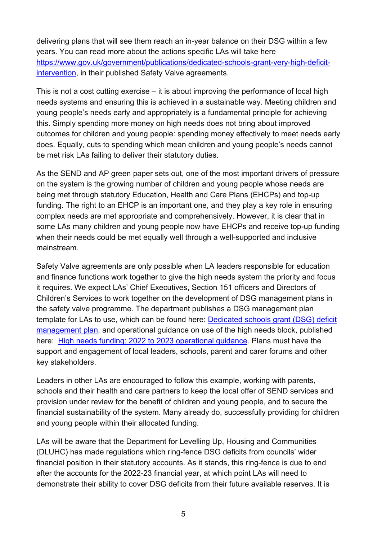delivering plans that will see them reach an in-year balance on their DSG within a few years. You can read more about the actions specific LAs will take here [https://www.gov.uk/government/publications/dedicated-schools-grant-very-high-deficit](https://www.gov.uk/government/publications/dedicated-schools-grant-very-high-deficit-intervention)[intervention,](https://www.gov.uk/government/publications/dedicated-schools-grant-very-high-deficit-intervention) in their published Safety Valve agreements.

This is not a cost cutting exercise – it is about improving the performance of local high needs systems and ensuring this is achieved in a sustainable way. Meeting children and young people's needs early and appropriately is a fundamental principle for achieving this. Simply spending more money on high needs does not bring about improved outcomes for children and young people: spending money effectively to meet needs early does. Equally, cuts to spending which mean children and young people's needs cannot be met risk LAs failing to deliver their statutory duties.

As the SEND and AP green paper sets out, one of the most important drivers of pressure on the system is the growing number of children and young people whose needs are being met through statutory Education, Health and Care Plans (EHCPs) and top-up funding. The right to an EHCP is an important one, and they play a key role in ensuring complex needs are met appropriate and comprehensively. However, it is clear that in some LAs many children and young people now have EHCPs and receive top-up funding when their needs could be met equally well through a well-supported and inclusive mainstream.

Safety Valve agreements are only possible when LA leaders responsible for education and finance functions work together to give the high needs system the priority and focus it requires. We expect LAs' Chief Executives, Section 151 officers and Directors of Children's Services to work together on the development of DSG management plans in the safety valve programme. The department publishes a DSG management plan template for LAs to use, which can be found here: [Dedicated schools grant \(DSG\) deficit](https://www.gov.uk/government/publications/dedicated-schools-grant-dsg-deficit-management-plan?msclkid=c33dbca0d13f11ecab8c5eba6cfe5205)  [management plan,](https://www.gov.uk/government/publications/dedicated-schools-grant-dsg-deficit-management-plan?msclkid=c33dbca0d13f11ecab8c5eba6cfe5205) and operational guidance on use of the high needs block, published here: [High needs funding: 2022 to 2023 operational guidance.](https://www.gov.uk/government/publications/high-needs-funding-arrangements-2022-to-2023) Plans must have the support and engagement of local leaders, schools, parent and carer forums and other key stakeholders.

Leaders in other LAs are encouraged to follow this example, working with parents, schools and their health and care partners to keep the local offer of SEND services and provision under review for the benefit of children and young people, and to secure the financial sustainability of the system. Many already do, successfully providing for children and young people within their allocated funding.

LAs will be aware that the Department for Levelling Up, Housing and Communities (DLUHC) has made regulations which ring-fence DSG deficits from councils' wider financial position in their statutory accounts. As it stands, this ring-fence is due to end after the accounts for the 2022-23 financial year, at which point LAs will need to demonstrate their ability to cover DSG deficits from their future available reserves. It is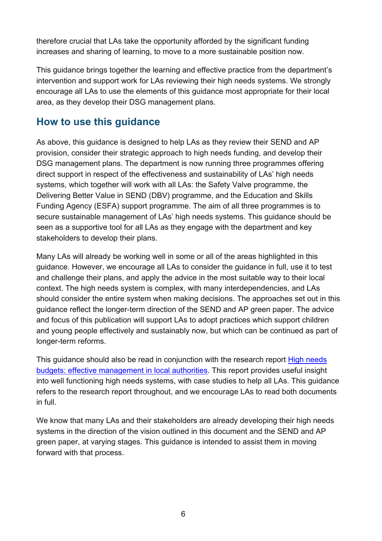therefore crucial that LAs take the opportunity afforded by the significant funding increases and sharing of learning, to move to a more sustainable position now.

This guidance brings together the learning and effective practice from the department's intervention and support work for LAs reviewing their high needs systems. We strongly encourage all LAs to use the elements of this guidance most appropriate for their local area, as they develop their DSG management plans.

# **How to use this guidance**

As above, this guidance is designed to help LAs as they review their SEND and AP provision, consider their strategic approach to high needs funding, and develop their DSG management plans. The department is now running three programmes offering direct support in respect of the effectiveness and sustainability of LAs' high needs systems, which together will work with all LAs: the Safety Valve programme, the Delivering Better Value in SEND (DBV) programme, and the Education and Skills Funding Agency (ESFA) support programme. The aim of all three programmes is to secure sustainable management of LAs' high needs systems. This guidance should be seen as a supportive tool for all LAs as they engage with the department and key stakeholders to develop their plans.

Many LAs will already be working well in some or all of the areas highlighted in this guidance. However, we encourage all LAs to consider the guidance in full, use it to test and challenge their plans, and apply the advice in the most suitable way to their local context. The high needs system is complex, with many interdependencies, and LAs should consider the entire system when making decisions. The approaches set out in this guidance reflect the longer-term direction of the SEND and AP green paper. The advice and focus of this publication will support LAs to adopt practices which support children and young people effectively and sustainably now, but which can be continued as part of longer-term reforms.

This guidance should also be read in conjunction with the research report High needs [budgets: effective management in local authorities.](https://www.gov.uk/government/publications/high-needs-budgets-effective-management-in-local-authorities) This report provides useful insight into well functioning high needs systems, with case studies to help all LAs. This guidance refers to the research report throughout, and we encourage LAs to read both documents in full.

We know that many LAs and their stakeholders are already developing their high needs systems in the direction of the vision outlined in this document and the SEND and AP green paper, at varying stages. This guidance is intended to assist them in moving forward with that process.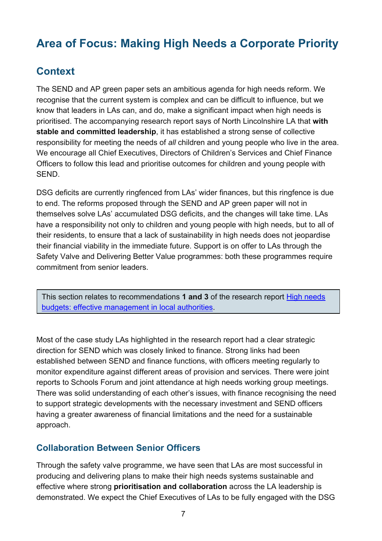# <span id="page-6-0"></span>**Area of Focus: Making High Needs a Corporate Priority**

# <span id="page-6-1"></span>**Context**

The SEND and AP green paper sets an ambitious agenda for high needs reform. We recognise that the current system is complex and can be difficult to influence, but we know that leaders in LAs can, and do, make a significant impact when high needs is prioritised. The accompanying research report says of North Lincolnshire LA that **with stable and committed leadership**, it has established a strong sense of collective responsibility for meeting the needs of *all* children and young people who live in the area. We encourage all Chief Executives, Directors of Children's Services and Chief Finance Officers to follow this lead and prioritise outcomes for children and young people with SEND.

DSG deficits are currently ringfenced from LAs' wider finances, but this ringfence is due to end. The reforms proposed through the SEND and AP green paper will not in themselves solve LAs' accumulated DSG deficits, and the changes will take time. LAs have a responsibility not only to children and young people with high needs, but to all of their residents, to ensure that a lack of sustainability in high needs does not jeopardise their financial viability in the immediate future. Support is on offer to LAs through the Safety Valve and Delivering Better Value programmes: both these programmes require commitment from senior leaders.

This section relates to recommendations **1 and 3** of the research report [High needs](https://www.gov.uk/government/publications/high-needs-budgets-effective-management-in-local-authorities)  [budgets: effective management in local authorities.](https://www.gov.uk/government/publications/high-needs-budgets-effective-management-in-local-authorities)

Most of the case study LAs highlighted in the research report had a clear strategic direction for SEND which was closely linked to finance. Strong links had been established between SEND and finance functions, with officers meeting regularly to monitor expenditure against different areas of provision and services. There were joint reports to Schools Forum and joint attendance at high needs working group meetings. There was solid understanding of each other's issues, with finance recognising the need to support strategic developments with the necessary investment and SEND officers having a greater awareness of financial limitations and the need for a sustainable approach.

#### <span id="page-6-2"></span>**Collaboration Between Senior Officers**

Through the safety valve programme, we have seen that LAs are most successful in producing and delivering plans to make their high needs systems sustainable and effective where strong **prioritisation and collaboration** across the LA leadership is demonstrated. We expect the Chief Executives of LAs to be fully engaged with the DSG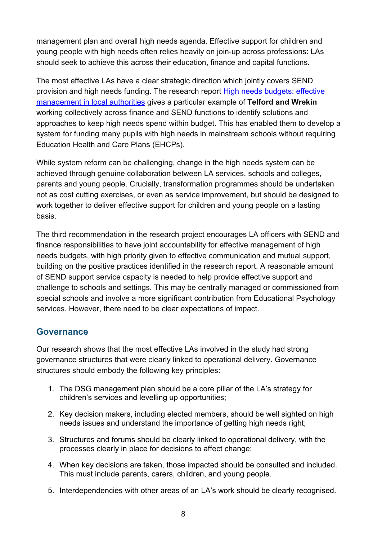management plan and overall high needs agenda. Effective support for children and young people with high needs often relies heavily on join-up across professions: LAs should seek to achieve this across their education, finance and capital functions.

The most effective LAs have a clear strategic direction which jointly covers SEND provision and high needs funding. The research report [High needs budgets: effective](https://www.gov.uk/government/publications/high-needs-budgets-effective-management-in-local-authorities)  [management in local authorities](https://www.gov.uk/government/publications/high-needs-budgets-effective-management-in-local-authorities) gives a particular example of **Telford and Wrekin** working collectively across finance and SEND functions to identify solutions and approaches to keep high needs spend within budget. This has enabled them to develop a system for funding many pupils with high needs in mainstream schools without requiring Education Health and Care Plans (EHCPs).

While system reform can be challenging, change in the high needs system can be achieved through genuine collaboration between LA services, schools and colleges, parents and young people. Crucially, transformation programmes should be undertaken not as cost cutting exercises, or even as service improvement, but should be designed to work together to deliver effective support for children and young people on a lasting basis.

The third recommendation in the research project encourages LA officers with SEND and finance responsibilities to have joint accountability for effective management of high needs budgets, with high priority given to effective communication and mutual support, building on the positive practices identified in the research report. A reasonable amount of SEND support service capacity is needed to help provide effective support and challenge to schools and settings. This may be centrally managed or commissioned from special schools and involve a more significant contribution from Educational Psychology services. However, there need to be clear expectations of impact.

#### <span id="page-7-0"></span>**Governance**

Our research shows that the most effective LAs involved in the study had strong governance structures that were clearly linked to operational delivery. Governance structures should embody the following key principles:

- 1. The DSG management plan should be a core pillar of the LA's strategy for children's services and levelling up opportunities;
- 2. Key decision makers, including elected members, should be well sighted on high needs issues and understand the importance of getting high needs right;
- 3. Structures and forums should be clearly linked to operational delivery, with the processes clearly in place for decisions to affect change;
- 4. When key decisions are taken, those impacted should be consulted and included. This must include parents, carers, children, and young people.
- 5. Interdependencies with other areas of an LA's work should be clearly recognised.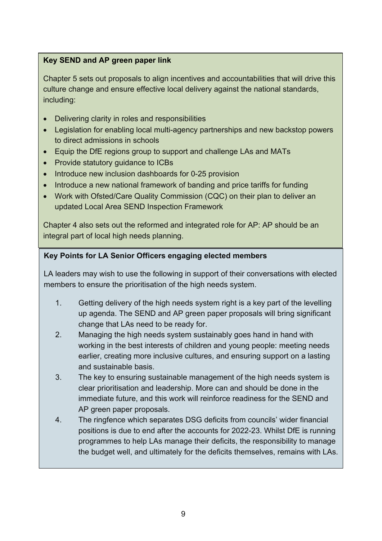#### **Key SEND and AP green paper link**

Chapter 5 sets out proposals to align incentives and accountabilities that will drive this culture change and ensure effective local delivery against the national standards, including:

- Delivering clarity in roles and responsibilities
- Legislation for enabling local multi-agency partnerships and new backstop powers to direct admissions in schools
- Equip the DfE regions group to support and challenge LAs and MATs
- Provide statutory guidance to ICBs
- Introduce new inclusion dashboards for 0-25 provision
- Introduce a new national framework of banding and price tariffs for funding
- Work with Ofsted/Care Quality Commission (CQC) on their plan to deliver an updated Local Area SEND Inspection Framework

Chapter 4 also sets out the reformed and integrated role for AP: AP should be an integral part of local high needs planning.

#### **Key Points for LA Senior Officers engaging elected members**

LA leaders may wish to use the following in support of their conversations with elected members to ensure the prioritisation of the high needs system.

- 1. Getting delivery of the high needs system right is a key part of the levelling up agenda. The SEND and AP green paper proposals will bring significant change that LAs need to be ready for.
- 2. Managing the high needs system sustainably goes hand in hand with working in the best interests of children and young people: meeting needs earlier, creating more inclusive cultures, and ensuring support on a lasting and sustainable basis.
- 3. The key to ensuring sustainable management of the high needs system is clear prioritisation and leadership. More can and should be done in the immediate future, and this work will reinforce readiness for the SEND and AP green paper proposals.
- 4. The ringfence which separates DSG deficits from councils' wider financial positions is due to end after the accounts for 2022-23. Whilst DfE is running programmes to help LAs manage their deficits, the responsibility to manage the budget well, and ultimately for the deficits themselves, remains with LAs.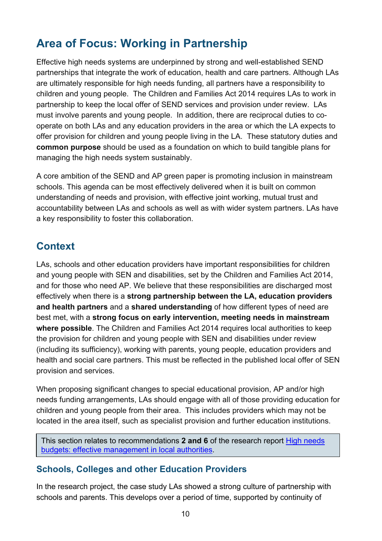# <span id="page-9-0"></span>**Area of Focus: Working in Partnership**

Effective high needs systems are underpinned by strong and well-established SEND partnerships that integrate the work of education, health and care partners. Although LAs are ultimately responsible for high needs funding, all partners have a responsibility to children and young people. The Children and Families Act 2014 requires LAs to work in partnership to keep the local offer of SEND services and provision under review. LAs must involve parents and young people. In addition, there are reciprocal duties to cooperate on both LAs and any education providers in the area or which the LA expects to offer provision for children and young people living in the LA. These statutory duties and **common purpose** should be used as a foundation on which to build tangible plans for managing the high needs system sustainably.

A core ambition of the SEND and AP green paper is promoting inclusion in mainstream schools. This agenda can be most effectively delivered when it is built on common understanding of needs and provision, with effective joint working, mutual trust and accountability between LAs and schools as well as with wider system partners. LAs have a key responsibility to foster this collaboration.

# <span id="page-9-1"></span>**Context**

LAs, schools and other education providers have important responsibilities for children and young people with SEN and disabilities, set by the Children and Families Act 2014, and for those who need AP. We believe that these responsibilities are discharged most effectively when there is a **strong partnership between the LA, education providers and health partners** and a **shared understanding** of how different types of need are best met, with a **strong focus on early intervention, meeting needs in mainstream where possible**. The Children and Families Act 2014 requires local authorities to keep the provision for children and young people with SEN and disabilities under review (including its sufficiency), working with parents, young people, education providers and health and social care partners. This must be reflected in the published local offer of SEN provision and services.

When proposing significant changes to special educational provision, AP and/or high needs funding arrangements, LAs should engage with all of those providing education for children and young people from their area. This includes providers which may not be located in the area itself, such as specialist provision and further education institutions.

This section relates to recommendations **2 and 6** of the research report [High needs](https://www.gov.uk/government/publications/high-needs-budgets-effective-management-in-local-authorities)  [budgets: effective management in local authorities.](https://www.gov.uk/government/publications/high-needs-budgets-effective-management-in-local-authorities)

#### <span id="page-9-2"></span>**Schools, Colleges and other Education Providers**

In the research project, the case study LAs showed a strong culture of partnership with schools and parents. This develops over a period of time, supported by continuity of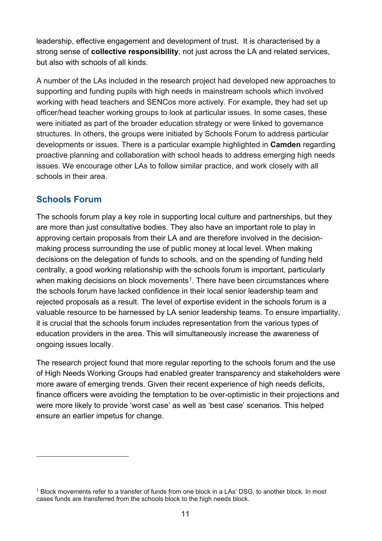leadership, effective engagement and development of trust. It is characterised by a strong sense of **collective responsibility**, not just across the LA and related services, but also with schools of all kinds.

A number of the LAs included in the research project had developed new approaches to supporting and funding pupils with high needs in mainstream schools which involved working with head teachers and SENCos more actively. For example, they had set up officer/head teacher working groups to look at particular issues. In some cases, these were initiated as part of the broader education strategy or were linked to governance structures. In others, the groups were initiated by Schools Forum to address particular developments or issues. There is a particular example highlighted in **Camden** regarding proactive planning and collaboration with school heads to address emerging high needs issues. We encourage other LAs to follow similar practice, and work closely with all schools in their area.

#### <span id="page-10-0"></span>**Schools Forum**

The schools forum play a key role in supporting local culture and partnerships, but they are more than just consultative bodies. They also have an important role to play in approving certain proposals from their LA and are therefore involved in the decisionmaking process surrounding the use of public money at local level. When making decisions on the delegation of funds to schools, and on the spending of funding held centrally, a good working relationship with the schools forum is important, particularly when making decisions on block movements<sup>[1](#page-10-1)</sup>. There have been circumstances where the schools forum have lacked confidence in their local senior leadership team and rejected proposals as a result. The level of expertise evident in the schools forum is a valuable resource to be harnessed by LA senior leadership teams. To ensure impartiality, it is crucial that the schools forum includes representation from the various types of education providers in the area. This will simultaneously increase the awareness of ongoing issues locally.

The research project found that more regular reporting to the schools forum and the use of High Needs Working Groups had enabled greater transparency and stakeholders were more aware of emerging trends. Given their recent experience of high needs deficits, finance officers were avoiding the temptation to be over-optimistic in their projections and were more likely to provide 'worst case' as well as 'best case' scenarios. This helped ensure an earlier impetus for change.

<span id="page-10-1"></span><sup>1</sup> Block movements refer to a transfer of funds from one block in a LAs' DSG, to another block. In most cases funds are transferred from the schools block to the high needs block.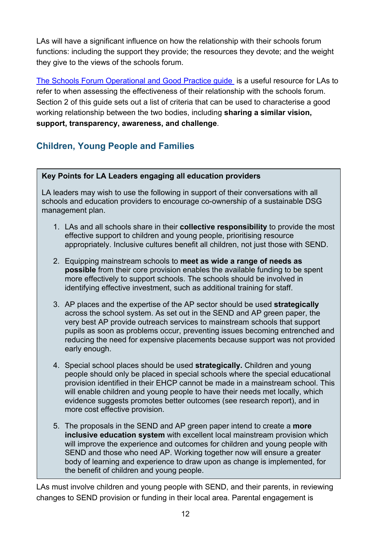LAs will have a significant influence on how the relationship with their schools forum functions: including the support they provide; the resources they devote; and the weight they give to the views of the schools forum.

[The Schools Forum Operational and Good Practice guide](https://www.gov.uk/government/publications/schools-forums-operational-and-good-practice-guide-2015) is a useful resource for LAs to refer to when assessing the effectiveness of their relationship with the schools forum. Section 2 of this guide sets out a list of criteria that can be used to characterise a good working relationship between the two bodies, including **sharing a similar vision, support, transparency, awareness, and challenge**.

## <span id="page-11-0"></span>**Children, Young People and Families**

#### **Key Points for LA Leaders engaging all education providers**

LA leaders may wish to use the following in support of their conversations with all schools and education providers to encourage co-ownership of a sustainable DSG management plan.

- 1. LAs and all schools share in their **collective responsibility** to provide the most effective support to children and young people, prioritising resource appropriately. Inclusive cultures benefit all children, not just those with SEND.
- 2. Equipping mainstream schools to **meet as wide a range of needs as possible** from their core provision enables the available funding to be spent more effectively to support schools. The schools should be involved in identifying effective investment, such as additional training for staff.
- 3. AP places and the expertise of the AP sector should be used **strategically** across the school system. As set out in the SEND and AP green paper, the very best AP provide outreach services to mainstream schools that support pupils as soon as problems occur, preventing issues becoming entrenched and reducing the need for expensive placements because support was not provided early enough.
- 4. Special school places should be used **strategically.** Children and young people should only be placed in special schools where the special educational provision identified in their EHCP cannot be made in a mainstream school. This will enable children and young people to have their needs met locally, which evidence suggests promotes better outcomes (see research report), and in more cost effective provision.
- 5. The proposals in the SEND and AP green paper intend to create a **more inclusive education system** with excellent local mainstream provision which will improve the experience and outcomes for children and young people with SEND and those who need AP. Working together now will ensure a greater body of learning and experience to draw upon as change is implemented, for the benefit of children and young people.

LAs must involve children and young people with SEND, and their parents, in reviewing changes to SEND provision or funding in their local area. Parental engagement is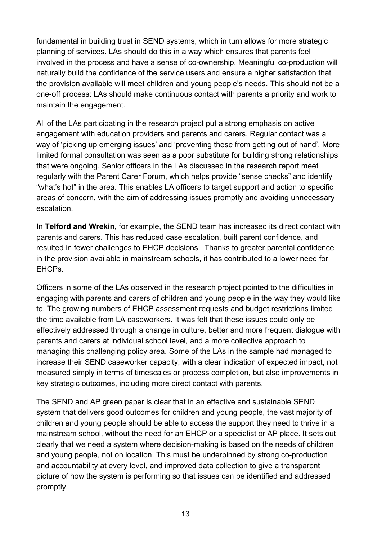fundamental in building trust in SEND systems, which in turn allows for more strategic planning of services. LAs should do this in a way which ensures that parents feel involved in the process and have a sense of co-ownership. Meaningful co-production will naturally build the confidence of the service users and ensure a higher satisfaction that the provision available will meet children and young people's needs. This should not be a one-off process: LAs should make continuous contact with parents a priority and work to maintain the engagement.

All of the LAs participating in the research project put a strong emphasis on active engagement with education providers and parents and carers. Regular contact was a way of 'picking up emerging issues' and 'preventing these from getting out of hand'. More limited formal consultation was seen as a poor substitute for building strong relationships that were ongoing. Senior officers in the LAs discussed in the research report meet regularly with the Parent Carer Forum, which helps provide "sense checks" and identify "what's hot" in the area. This enables LA officers to target support and action to specific areas of concern, with the aim of addressing issues promptly and avoiding unnecessary escalation.

In **Telford and Wrekin,** for example, the SEND team has increased its direct contact with parents and carers. This has reduced case escalation, built parent confidence, and resulted in fewer challenges to EHCP decisions. Thanks to greater parental confidence in the provision available in mainstream schools, it has contributed to a lower need for EHCPs.

Officers in some of the LAs observed in the research project pointed to the difficulties in engaging with parents and carers of children and young people in the way they would like to. The growing numbers of EHCP assessment requests and budget restrictions limited the time available from LA caseworkers. It was felt that these issues could only be effectively addressed through a change in culture, better and more frequent dialogue with parents and carers at individual school level, and a more collective approach to managing this challenging policy area. Some of the LAs in the sample had managed to increase their SEND caseworker capacity, with a clear indication of expected impact, not measured simply in terms of timescales or process completion, but also improvements in key strategic outcomes, including more direct contact with parents.

The SEND and AP green paper is clear that in an effective and sustainable SEND system that delivers good outcomes for children and young people, the vast majority of children and young people should be able to access the support they need to thrive in a mainstream school, without the need for an EHCP or a specialist or AP place. It sets out clearly that we need a system where decision-making is based on the needs of children and young people, not on location. This must be underpinned by strong co-production and accountability at every level, and improved data collection to give a transparent picture of how the system is performing so that issues can be identified and addressed promptly.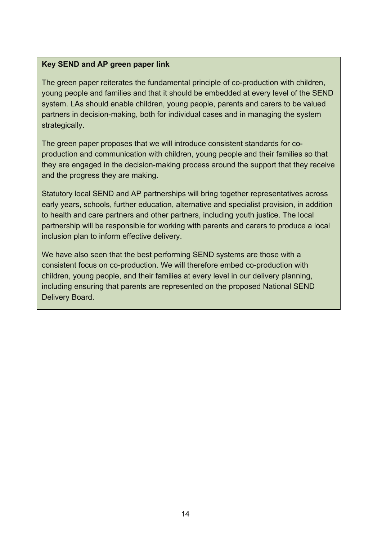#### **Key SEND and AP green paper link**

The green paper reiterates the fundamental principle of co-production with children, young people and families and that it should be embedded at every level of the SEND system. LAs should enable children, young people, parents and carers to be valued partners in decision-making, both for individual cases and in managing the system strategically.

The green paper proposes that we will introduce consistent standards for coproduction and communication with children, young people and their families so that they are engaged in the decision-making process around the support that they receive and the progress they are making.

Statutory local SEND and AP partnerships will bring together representatives across early years, schools, further education, alternative and specialist provision, in addition to health and care partners and other partners, including youth justice. The local partnership will be responsible for working with parents and carers to produce a local inclusion plan to inform effective delivery.

We have also seen that the best performing SEND systems are those with a consistent focus on co-production. We will therefore embed co-production with children, young people, and their families at every level in our delivery planning, including ensuring that parents are represented on the proposed National SEND Delivery Board.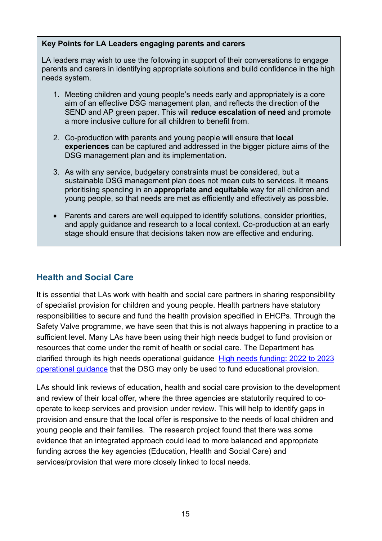#### **Key Points for LA Leaders engaging parents and carers**

LA leaders may wish to use the following in support of their conversations to engage parents and carers in identifying appropriate solutions and build confidence in the high needs system.

- 1. Meeting children and young people's needs early and appropriately is a core aim of an effective DSG management plan, and reflects the direction of the SEND and AP green paper. This will **reduce escalation of need** and promote a more inclusive culture for all children to benefit from.
- 2. Co-production with parents and young people will ensure that **local experiences** can be captured and addressed in the bigger picture aims of the DSG management plan and its implementation.
- 3. As with any service, budgetary constraints must be considered, but a sustainable DSG management plan does not mean cuts to services. It means prioritising spending in an **appropriate and equitable** way for all children and young people, so that needs are met as efficiently and effectively as possible.
- Parents and carers are well equipped to identify solutions, consider priorities, and apply guidance and research to a local context. Co-production at an early stage should ensure that decisions taken now are effective and enduring.

#### <span id="page-14-0"></span>**Health and Social Care**

It is essential that LAs work with health and social care partners in sharing responsibility of specialist provision for children and young people. Health partners have statutory responsibilities to secure and fund the health provision specified in EHCPs. Through the Safety Valve programme, we have seen that this is not always happening in practice to a sufficient level. Many LAs have been using their high needs budget to fund provision or resources that come under the remit of health or social care. The Department has clarified through its high needs operational guidance [High needs funding: 2022 to 2023](https://www.gov.uk/government/publications/high-needs-funding-arrangements-2022-to-2023/high-needs-funding-2022-to-2023-operational-guidance)  [operational guidance](https://www.gov.uk/government/publications/high-needs-funding-arrangements-2022-to-2023/high-needs-funding-2022-to-2023-operational-guidance) that the DSG may only be used to fund educational provision.

LAs should link reviews of education, health and social care provision to the development and review of their local offer, where the three agencies are statutorily required to cooperate to keep services and provision under review. This will help to identify gaps in provision and ensure that the local offer is responsive to the needs of local children and young people and their families. The research project found that there was some evidence that an integrated approach could lead to more balanced and appropriate funding across the key agencies (Education, Health and Social Care) and services/provision that were more closely linked to local needs.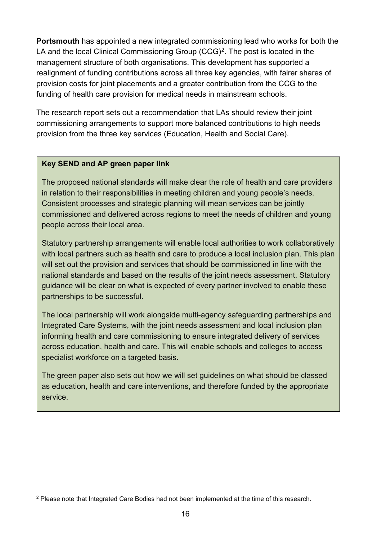**Portsmouth** has appointed a new integrated commissioning lead who works for both the LA and the local Clinical Commissioning Group (CCG)<sup>2</sup>. The post is located in the management structure of both organisations. This development has supported a realignment of funding contributions across all three key agencies, with fairer shares of provision costs for joint placements and a greater contribution from the CCG to the funding of health care provision for medical needs in mainstream schools.

The research report sets out a recommendation that LAs should review their joint commissioning arrangements to support more balanced contributions to high needs provision from the three key services (Education, Health and Social Care).

#### **Key SEND and AP green paper link**

The proposed national standards will make clear the role of health and care providers in relation to their responsibilities in meeting children and young people's needs. Consistent processes and strategic planning will mean services can be jointly commissioned and delivered across regions to meet the needs of children and young people across their local area.

Statutory partnership arrangements will enable local authorities to work collaboratively with local partners such as health and care to produce a local inclusion plan. This plan will set out the provision and services that should be commissioned in line with the national standards and based on the results of the joint needs assessment. Statutory guidance will be clear on what is expected of every partner involved to enable these partnerships to be successful.

The local partnership will work alongside multi-agency safeguarding partnerships and Integrated Care Systems, with the joint needs assessment and local inclusion plan informing health and care commissioning to ensure integrated delivery of services across education, health and care. This will enable schools and colleges to access specialist workforce on a targeted basis.

The green paper also sets out how we will set guidelines on what should be classed as education, health and care interventions, and therefore funded by the appropriate service.

<span id="page-15-0"></span><sup>&</sup>lt;sup>2</sup> Please note that Integrated Care Bodies had not been implemented at the time of this research.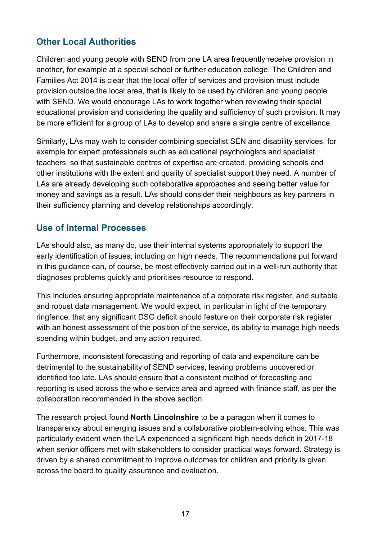## <span id="page-16-0"></span>**Other Local Authorities**

Children and young people with SEND from one LA area frequently receive provision in another, for example at a special school or further education college. The Children and Families Act 2014 is clear that the local offer of services and provision must include provision outside the local area, that is likely to be used by children and young people with SEND. We would encourage LAs to work together when reviewing their special educational provision and considering the quality and sufficiency of such provision. It may be more efficient for a group of LAs to develop and share a single centre of excellence.

Similarly, LAs may wish to consider combining specialist SEN and disability services, for example for expert professionals such as educational psychologists and specialist teachers, so that sustainable centres of expertise are created, providing schools and other institutions with the extent and quality of specialist support they need. A number of LAs are already developing such collaborative approaches and seeing better value for money and savings as a result. LAs should consider their neighbours as key partners in their sufficiency planning and develop relationships accordingly.

#### <span id="page-16-1"></span>**Use of Internal Processes**

LAs should also, as many do, use their internal systems appropriately to support the early identification of issues, including on high needs. The recommendations put forward in this guidance can, of course, be most effectively carried out in a well-run authority that diagnoses problems quickly and prioritises resource to respond.

This includes ensuring appropriate maintenance of a corporate risk register, and suitable and robust data management. We would expect, in particular in light of the temporary ringfence, that any significant DSG deficit should feature on their corporate risk register with an honest assessment of the position of the service, its ability to manage high needs spending within budget, and any action required.

Furthermore, inconsistent forecasting and reporting of data and expenditure can be detrimental to the sustainability of SEND services, leaving problems uncovered or identified too late. LAs should ensure that a consistent method of forecasting and reporting is used across the whole service area and agreed with finance staff, as per the collaboration recommended in the above section.

The research project found **North Lincolnshire** to be a paragon when it comes to transparency about emerging issues and a collaborative problem-solving ethos. This was particularly evident when the LA experienced a significant high needs deficit in 2017-18 when senior officers met with stakeholders to consider practical ways forward. Strategy is driven by a shared commitment to improve outcomes for children and priority is given across the board to quality assurance and evaluation.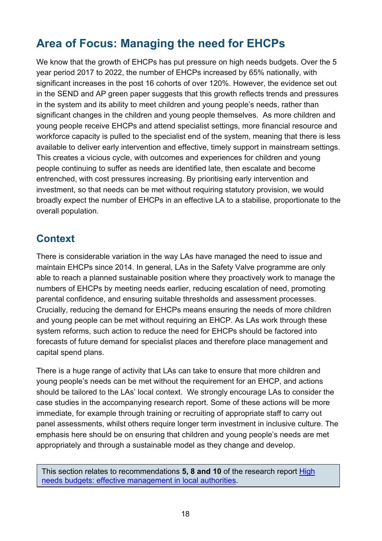# <span id="page-17-0"></span>**Area of Focus: Managing the need for EHCPs**

We know that the growth of EHCPs has put pressure on high needs budgets. Over the 5 year period 2017 to 2022, the number of EHCPs increased by 65% nationally, with significant increases in the post 16 cohorts of over 120%. However, the evidence set out in the SEND and AP green paper suggests that this growth reflects trends and pressures in the system and its ability to meet children and young people's needs, rather than significant changes in the children and young people themselves. As more children and young people receive EHCPs and attend specialist settings, more financial resource and workforce capacity is pulled to the specialist end of the system, meaning that there is less available to deliver early intervention and effective, timely support in mainstream settings. This creates a vicious cycle, with outcomes and experiences for children and young people continuing to suffer as needs are identified late, then escalate and become entrenched, with cost pressures increasing. By prioritising early intervention and investment, so that needs can be met without requiring statutory provision, we would broadly expect the number of EHCPs in an effective LA to a stabilise, proportionate to the overall population.

# <span id="page-17-1"></span>**Context**

There is considerable variation in the way LAs have managed the need to issue and maintain EHCPs since 2014. In general, LAs in the Safety Valve programme are only able to reach a planned sustainable position where they proactively work to manage the numbers of EHCPs by meeting needs earlier, reducing escalation of need, promoting parental confidence, and ensuring suitable thresholds and assessment processes. Crucially, reducing the demand for EHCPs means ensuring the needs of more children and young people can be met without requiring an EHCP. As LAs work through these system reforms, such action to reduce the need for EHCPs should be factored into forecasts of future demand for specialist places and therefore place management and capital spend plans.

There is a huge range of activity that LAs can take to ensure that more children and young people's needs can be met without the requirement for an EHCP, and actions should be tailored to the LAs' local context. We strongly encourage LAs to consider the case studies in the accompanying research report. Some of these actions will be more immediate, for example through training or recruiting of appropriate staff to carry out panel assessments, whilst others require longer term investment in inclusive culture. The emphasis here should be on ensuring that children and young people's needs are met appropriately and through a sustainable model as they change and develop.

This section relates to recommendations **5, 8 and 10** of the research report [High](https://www.gov.uk/government/publications/high-needs-budgets-effective-management-in-local-authorities)  [needs budgets: effective management in local authorities.](https://www.gov.uk/government/publications/high-needs-budgets-effective-management-in-local-authorities)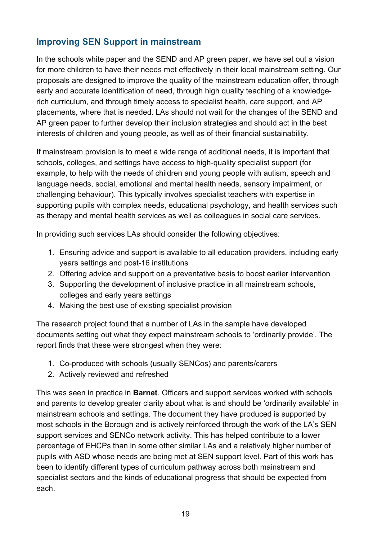## <span id="page-18-0"></span>**Improving SEN Support in mainstream**

In the schools white paper and the SEND and AP green paper, we have set out a vision for more children to have their needs met effectively in their local mainstream setting. Our proposals are designed to improve the quality of the mainstream education offer, through early and accurate identification of need, through high quality teaching of a knowledgerich curriculum, and through timely access to specialist health, care support, and AP placements, where that is needed. LAs should not wait for the changes of the SEND and AP green paper to further develop their inclusion strategies and should act in the best interests of children and young people, as well as of their financial sustainability.

If mainstream provision is to meet a wide range of additional needs, it is important that schools, colleges, and settings have access to high-quality specialist support (for example, to help with the needs of children and young people with autism, speech and language needs, social, emotional and mental health needs, sensory impairment, or challenging behaviour). This typically involves specialist teachers with expertise in supporting pupils with complex needs, educational psychology, and health services such as therapy and mental health services as well as colleagues in social care services.

In providing such services LAs should consider the following objectives:

- 1. Ensuring advice and support is available to all education providers, including early years settings and post-16 institutions
- 2. Offering advice and support on a preventative basis to boost earlier intervention
- 3. Supporting the development of inclusive practice in all mainstream schools, colleges and early years settings
- 4. Making the best use of existing specialist provision

The research project found that a number of LAs in the sample have developed documents setting out what they expect mainstream schools to 'ordinarily provide'. The report finds that these were strongest when they were:

- 1. Co-produced with schools (usually SENCos) and parents/carers
- 2. Actively reviewed and refreshed

This was seen in practice in **Barnet**. Officers and support services worked with schools and parents to develop greater clarity about what is and should be 'ordinarily available' in mainstream schools and settings. The document they have produced is supported by most schools in the Borough and is actively reinforced through the work of the LA's SEN support services and SENCo network activity. This has helped contribute to a lower percentage of EHCPs than in some other similar LAs and a relatively higher number of pupils with ASD whose needs are being met at SEN support level. Part of this work has been to identify different types of curriculum pathway across both mainstream and specialist sectors and the kinds of educational progress that should be expected from each.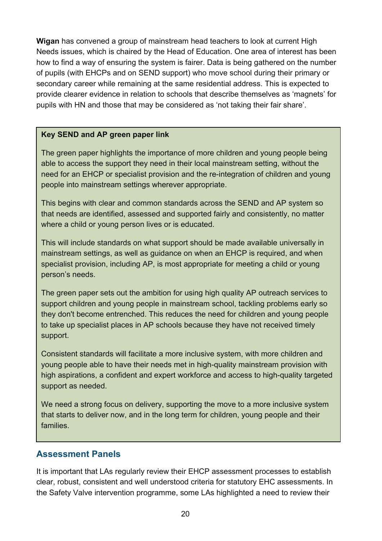**Wigan** has convened a group of mainstream head teachers to look at current High Needs issues, which is chaired by the Head of Education. One area of interest has been how to find a way of ensuring the system is fairer. Data is being gathered on the number of pupils (with EHCPs and on SEND support) who move school during their primary or secondary career while remaining at the same residential address. This is expected to provide clearer evidence in relation to schools that describe themselves as 'magnets' for pupils with HN and those that may be considered as 'not taking their fair share'.

#### **Key SEND and AP green paper link**

The green paper highlights the importance of more children and young people being able to access the support they need in their local mainstream setting, without the need for an EHCP or specialist provision and the re-integration of children and young people into mainstream settings wherever appropriate.

This begins with clear and common standards across the SEND and AP system so that needs are identified, assessed and supported fairly and consistently, no matter where a child or young person lives or is educated.

This will include standards on what support should be made available universally in mainstream settings, as well as guidance on when an EHCP is required, and when specialist provision, including AP, is most appropriate for meeting a child or young person's needs.

The green paper sets out the ambition for using high quality AP outreach services to support children and young people in mainstream school, tackling problems early so they don't become entrenched. This reduces the need for children and young people to take up specialist places in AP schools because they have not received timely support.

Consistent standards will facilitate a more inclusive system, with more children and young people able to have their needs met in high-quality mainstream provision with high aspirations, a confident and expert workforce and access to high-quality targeted support as needed.

We need a strong focus on delivery, supporting the move to a more inclusive system that starts to deliver now, and in the long term for children, young people and their families.

#### <span id="page-19-0"></span>**Assessment Panels**

It is important that LAs regularly review their EHCP assessment processes to establish clear, robust, consistent and well understood criteria for statutory EHC assessments. In the Safety Valve intervention programme, some LAs highlighted a need to review their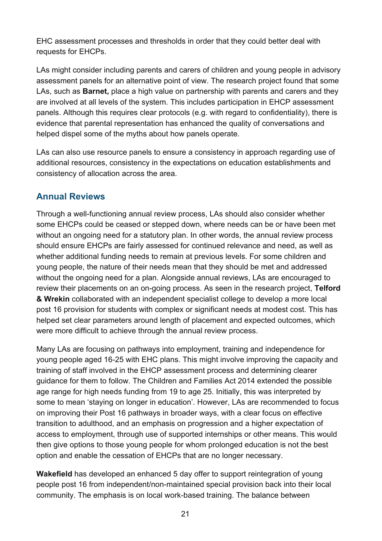EHC assessment processes and thresholds in order that they could better deal with requests for EHCPs.

LAs might consider including parents and carers of children and young people in advisory assessment panels for an alternative point of view. The research project found that some LAs, such as **Barnet,** place a high value on partnership with parents and carers and they are involved at all levels of the system. This includes participation in EHCP assessment panels. Although this requires clear protocols (e.g. with regard to confidentiality), there is evidence that parental representation has enhanced the quality of conversations and helped dispel some of the myths about how panels operate.

LAs can also use resource panels to ensure a consistency in approach regarding use of additional resources, consistency in the expectations on education establishments and consistency of allocation across the area.

#### <span id="page-20-0"></span>**Annual Reviews**

Through a well-functioning annual review process, LAs should also consider whether some EHCPs could be ceased or stepped down, where needs can be or have been met without an ongoing need for a statutory plan. In other words, the annual review process should ensure EHCPs are fairly assessed for continued relevance and need, as well as whether additional funding needs to remain at previous levels. For some children and young people, the nature of their needs mean that they should be met and addressed without the ongoing need for a plan. Alongside annual reviews, LAs are encouraged to review their placements on an on-going process. As seen in the research project, **Telford & Wrekin** collaborated with an independent specialist college to develop a more local post 16 provision for students with complex or significant needs at modest cost. This has helped set clear parameters around length of placement and expected outcomes, which were more difficult to achieve through the annual review process.

Many LAs are focusing on pathways into employment, training and independence for young people aged 16-25 with EHC plans. This might involve improving the capacity and training of staff involved in the EHCP assessment process and determining clearer guidance for them to follow. The Children and Families Act 2014 extended the possible age range for high needs funding from 19 to age 25. Initially, this was interpreted by some to mean 'staying on longer in education'. However, LAs are recommended to focus on improving their Post 16 pathways in broader ways, with a clear focus on effective transition to adulthood, and an emphasis on progression and a higher expectation of access to employment, through use of supported internships or other means. This would then give options to those young people for whom prolonged education is not the best option and enable the cessation of EHCPs that are no longer necessary.

**Wakefield** has developed an enhanced 5 day offer to support reintegration of young people post 16 from independent/non-maintained special provision back into their local community. The emphasis is on local work-based training. The balance between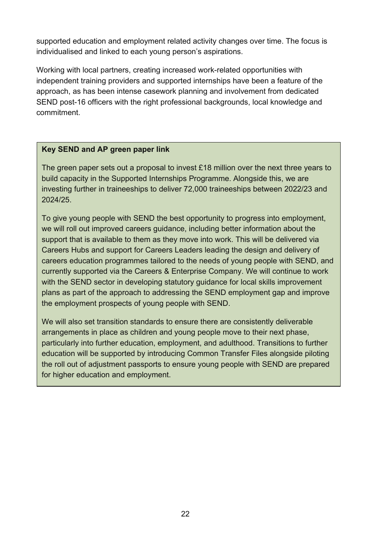supported education and employment related activity changes over time. The focus is individualised and linked to each young person's aspirations.

Working with local partners, creating increased work-related opportunities with independent training providers and supported internships have been a feature of the approach, as has been intense casework planning and involvement from dedicated SEND post-16 officers with the right professional backgrounds, local knowledge and commitment.

#### **Key SEND and AP green paper link**

The green paper sets out a proposal to invest £18 million over the next three years to build capacity in the Supported Internships Programme. Alongside this, we are investing further in traineeships to deliver 72,000 traineeships between 2022/23 and 2024/25.

To give young people with SEND the best opportunity to progress into employment, we will roll out improved careers guidance, including better information about the support that is available to them as they move into work. This will be delivered via Careers Hubs and support for Careers Leaders leading the design and delivery of careers education programmes tailored to the needs of young people with SEND, and currently supported via the Careers & Enterprise Company. We will continue to work with the SEND sector in developing statutory guidance for local skills improvement plans as part of the approach to addressing the SEND employment gap and improve the employment prospects of young people with SEND.

We will also set transition standards to ensure there are consistently deliverable arrangements in place as children and young people move to their next phase, particularly into further education, employment, and adulthood. Transitions to further education will be supported by introducing Common Transfer Files alongside piloting the roll out of adjustment passports to ensure young people with SEND are prepared for higher education and employment.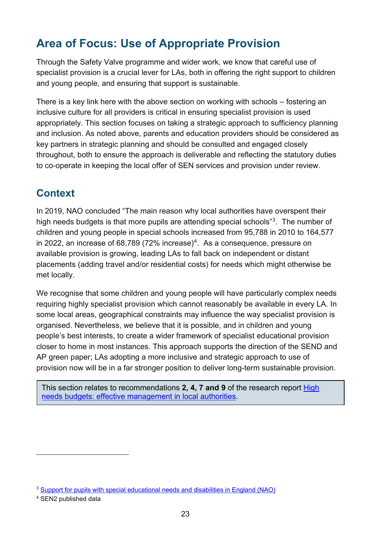# <span id="page-22-0"></span>**Area of Focus: Use of Appropriate Provision**

Through the Safety Valve programme and wider work, we know that careful use of specialist provision is a crucial lever for LAs, both in offering the right support to children and young people, and ensuring that support is sustainable.

There is a key link here with the above section on working with schools – fostering an inclusive culture for all providers is critical in ensuring specialist provision is used appropriately. This section focuses on taking a strategic approach to sufficiency planning and inclusion. As noted above, parents and education providers should be considered as key partners in strategic planning and should be consulted and engaged closely throughout, both to ensure the approach is deliverable and reflecting the statutory duties to co-operate in keeping the local offer of SEN services and provision under review.

## <span id="page-22-1"></span>**Context**

In 2019, NAO concluded "The main reason why local authorities have overspent their high needs budgets is that more pupils are attending special schools"[3](#page-22-2). The number of children and young people in special schools increased from 95,788 in 2010 to 164,577 in 2022, an increase of 68,789 (72% increase)<sup>[4](#page-22-3)</sup>. As a consequence, pressure on available provision is growing, leading LAs to fall back on independent or distant placements (adding travel and/or residential costs) for needs which might otherwise be met locally.

We recognise that some children and young people will have particularly complex needs requiring highly specialist provision which cannot reasonably be available in every LA. In some local areas, geographical constraints may influence the way specialist provision is organised. Nevertheless, we believe that it is possible, and in children and young people's best interests, to create a wider framework of specialist educational provision closer to home in most instances. This approach supports the direction of the SEND and AP green paper; LAs adopting a more inclusive and strategic approach to use of provision now will be in a far stronger position to deliver long-term sustainable provision.

This section relates to recommendations **2, 4, 7 and 9** of the research report [High](https://www.gov.uk/government/publications/high-needs-budgets-effective-management-in-local-authorities)  [needs budgets: effective management in local authorities.](https://www.gov.uk/government/publications/high-needs-budgets-effective-management-in-local-authorities)

<span id="page-22-2"></span><sup>&</sup>lt;sup>3</sup> Support for pupils with special educational needs and disabilities in England (NAO)

<span id="page-22-3"></span><sup>4</sup> SEN2 published data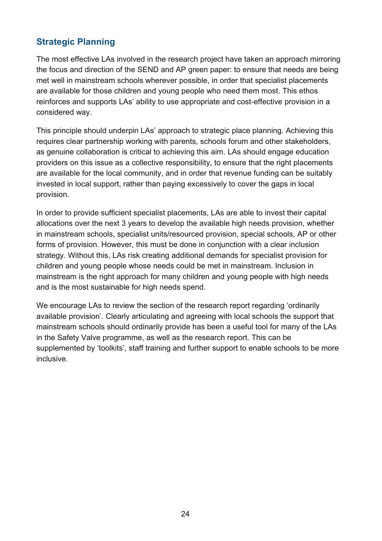## <span id="page-23-0"></span>**Strategic Planning**

The most effective LAs involved in the research project have taken an approach mirroring the focus and direction of the SEND and AP green paper: to ensure that needs are being met well in mainstream schools wherever possible, in order that specialist placements are available for those children and young people who need them most. This ethos reinforces and supports LAs' ability to use appropriate and cost-effective provision in a considered way.

This principle should underpin LAs' approach to strategic place planning. Achieving this requires clear partnership working with parents, schools forum and other stakeholders, as genuine collaboration is critical to achieving this aim. LAs should engage education providers on this issue as a collective responsibility, to ensure that the right placements are available for the local community, and in order that revenue funding can be suitably invested in local support, rather than paying excessively to cover the gaps in local provision.

In order to provide sufficient specialist placements, LAs are able to invest their capital allocations over the next 3 years to develop the available high needs provision, whether in mainstream schools, specialist units/resourced provision, special schools, AP or other forms of provision. However, this must be done in conjunction with a clear inclusion strategy. Without this, LAs risk creating additional demands for specialist provision for children and young people whose needs could be met in mainstream. Inclusion in mainstream is the right approach for many children and young people with high needs and is the most sustainable for high needs spend.

We encourage LAs to review the section of the research report regarding 'ordinarily available provision'. Clearly articulating and agreeing with local schools the support that mainstream schools should ordinarily provide has been a useful tool for many of the LAs in the Safety Valve programme, as well as the research report. This can be supplemented by 'toolkits', staff training and further support to enable schools to be more inclusive.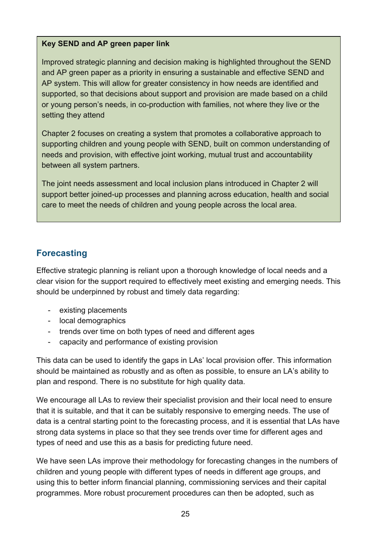#### **Key SEND and AP green paper link**

Improved strategic planning and decision making is highlighted throughout the SEND and AP green paper as a priority in ensuring a sustainable and effective SEND and AP system. This will allow for greater consistency in how needs are identified and supported, so that decisions about support and provision are made based on a child or young person's needs, in co-production with families, not where they live or the setting they attend

Chapter 2 focuses on creating a system that promotes a collaborative approach to supporting children and young people with SEND, built on common understanding of needs and provision, with effective joint working, mutual trust and accountability between all system partners.

The joint needs assessment and local inclusion plans introduced in Chapter 2 will support better joined-up processes and planning across education, health and social care to meet the needs of children and young people across the local area.

## <span id="page-24-0"></span>**Forecasting**

Effective strategic planning is reliant upon a thorough knowledge of local needs and a clear vision for the support required to effectively meet existing and emerging needs. This should be underpinned by robust and timely data regarding:

- existing placements
- local demographics
- trends over time on both types of need and different ages
- capacity and performance of existing provision

This data can be used to identify the gaps in LAs' local provision offer. This information should be maintained as robustly and as often as possible, to ensure an LA's ability to plan and respond. There is no substitute for high quality data.

We encourage all LAs to review their specialist provision and their local need to ensure that it is suitable, and that it can be suitably responsive to emerging needs. The use of data is a central starting point to the forecasting process, and it is essential that LAs have strong data systems in place so that they see trends over time for different ages and types of need and use this as a basis for predicting future need.

We have seen LAs improve their methodology for forecasting changes in the numbers of children and young people with different types of needs in different age groups, and using this to better inform financial planning, commissioning services and their capital programmes. More robust procurement procedures can then be adopted, such as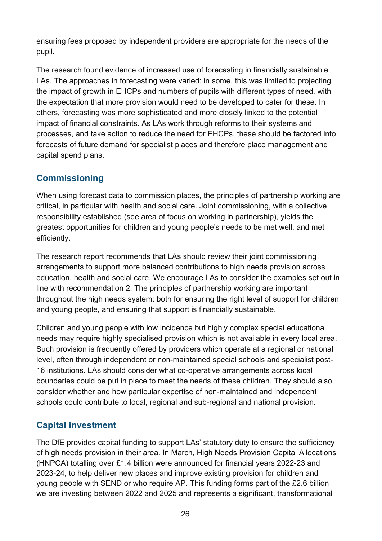ensuring fees proposed by independent providers are appropriate for the needs of the pupil.

The research found evidence of increased use of forecasting in financially sustainable LAs. The approaches in forecasting were varied: in some, this was limited to projecting the impact of growth in EHCPs and numbers of pupils with different types of need, with the expectation that more provision would need to be developed to cater for these. In others, forecasting was more sophisticated and more closely linked to the potential impact of financial constraints. As LAs work through reforms to their systems and processes, and take action to reduce the need for EHCPs, these should be factored into forecasts of future demand for specialist places and therefore place management and capital spend plans.

## <span id="page-25-0"></span>**Commissioning**

When using forecast data to commission places, the principles of partnership working are critical, in particular with health and social care. Joint commissioning, with a collective responsibility established (see area of focus on working in partnership), yields the greatest opportunities for children and young people's needs to be met well, and met efficiently.

The research report recommends that LAs should review their joint commissioning arrangements to support more balanced contributions to high needs provision across education, health and social care. We encourage LAs to consider the examples set out in line with recommendation 2. The principles of partnership working are important throughout the high needs system: both for ensuring the right level of support for children and young people, and ensuring that support is financially sustainable.

Children and young people with low incidence but highly complex special educational needs may require highly specialised provision which is not available in every local area. Such provision is frequently offered by providers which operate at a regional or national level, often through independent or non-maintained special schools and specialist post-16 institutions. LAs should consider what co-operative arrangements across local boundaries could be put in place to meet the needs of these children. They should also consider whether and how particular expertise of non-maintained and independent schools could contribute to local, regional and sub-regional and national provision.

# <span id="page-25-1"></span>**Capital investment**

The DfE provides capital funding to support LAs' statutory duty to ensure the sufficiency of high needs provision in their area. In March, High Needs Provision Capital Allocations (HNPCA) totalling over £1.4 billion were announced for financial years 2022-23 and 2023-24, to help deliver new places and improve existing provision for children and young people with SEND or who require AP. This funding forms part of the £2.6 billion we are investing between 2022 and 2025 and represents a significant, transformational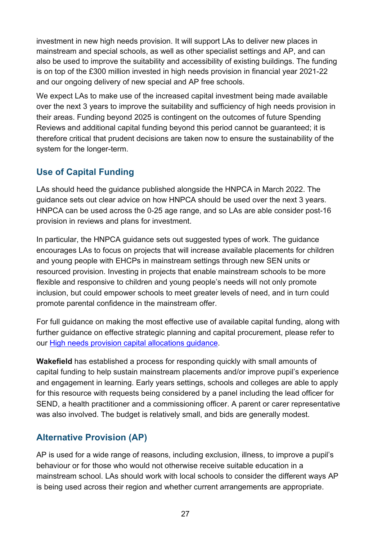investment in new high needs provision. It will support LAs to deliver new places in mainstream and special schools, as well as other specialist settings and AP, and can also be used to improve the suitability and accessibility of existing buildings. The funding is on top of the £300 million invested in high needs provision in financial year 2021-22 and our ongoing delivery of new special and AP free schools.

We expect LAs to make use of the increased capital investment being made available over the next 3 years to improve the suitability and sufficiency of high needs provision in their areas. Funding beyond 2025 is contingent on the outcomes of future Spending Reviews and additional capital funding beyond this period cannot be guaranteed; it is therefore critical that prudent decisions are taken now to ensure the sustainability of the system for the longer-term.

## <span id="page-26-0"></span>**Use of Capital Funding**

LAs should heed the guidance published alongside the HNPCA in March 2022. The guidance sets out clear advice on how HNPCA should be used over the next 3 years. HNPCA can be used across the 0-25 age range, and so LAs are able consider post-16 provision in reviews and plans for investment.

In particular, the HNPCA guidance sets out suggested types of work. The guidance encourages LAs to focus on projects that will increase available placements for children and young people with EHCPs in mainstream settings through new SEN units or resourced provision. Investing in projects that enable mainstream schools to be more flexible and responsive to children and young people's needs will not only promote inclusion, but could empower schools to meet greater levels of need, and in turn could promote parental confidence in the mainstream offer.

For full guidance on making the most effective use of available capital funding, along with further guidance on effective strategic planning and capital procurement, please refer to our [High needs provision capital allocations guidance.](https://www.gov.uk/government/publications/high-needs-provision-capital-allocations)

**Wakefield** has established a process for responding quickly with small amounts of capital funding to help sustain mainstream placements and/or improve pupil's experience and engagement in learning. Early years settings, schools and colleges are able to apply for this resource with requests being considered by a panel including the lead officer for SEND, a health practitioner and a commissioning officer. A parent or carer representative was also involved. The budget is relatively small, and bids are generally modest.

## <span id="page-26-1"></span>**Alternative Provision (AP)**

AP is used for a wide range of reasons, including exclusion, illness, to improve a pupil's behaviour or for those who would not otherwise receive suitable education in a mainstream school. LAs should work with local schools to consider the different ways AP is being used across their region and whether current arrangements are appropriate.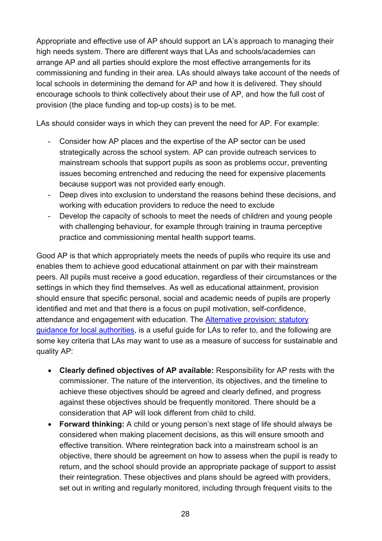Appropriate and effective use of AP should support an LA's approach to managing their high needs system. There are different ways that LAs and schools/academies can arrange AP and all parties should explore the most effective arrangements for its commissioning and funding in their area. LAs should always take account of the needs of local schools in determining the demand for AP and how it is delivered. They should encourage schools to think collectively about their use of AP, and how the full cost of provision (the place funding and top-up costs) is to be met.

LAs should consider ways in which they can prevent the need for AP. For example:

- Consider how AP places and the expertise of the AP sector can be used strategically across the school system. AP can provide outreach services to mainstream schools that support pupils as soon as problems occur, preventing issues becoming entrenched and reducing the need for expensive placements because support was not provided early enough.
- Deep dives into exclusion to understand the reasons behind these decisions, and working with education providers to reduce the need to exclude
- Develop the capacity of schools to meet the needs of children and young people with challenging behaviour, for example through training in trauma perceptive practice and commissioning mental health support teams.

Good AP is that which appropriately meets the needs of pupils who require its use and enables them to achieve good educational attainment on par with their mainstream peers. All pupils must receive a good education, regardless of their circumstances or the settings in which they find themselves. As well as educational attainment, provision should ensure that specific personal, social and academic needs of pupils are properly identified and met and that there is a focus on pupil motivation, self-confidence, attendance and engagement with education. The [Alternative provision: statutory](https://www.gov.uk/government/publications/alternative-provision?msclkid=35dc588fd10c11ec8a2c6853d0f76e98)  [guidance for local authorities,](https://www.gov.uk/government/publications/alternative-provision?msclkid=35dc588fd10c11ec8a2c6853d0f76e98) is a useful guide for LAs to refer to, and the following are some key criteria that LAs may want to use as a measure of success for sustainable and quality AP:

- **Clearly defined objectives of AP available:** Responsibility for AP rests with the commissioner. The nature of the intervention, its objectives, and the timeline to achieve these objectives should be agreed and clearly defined, and progress against these objectives should be frequently monitored. There should be a consideration that AP will look different from child to child.
- **Forward thinking:** A child or young person's next stage of life should always be considered when making placement decisions, as this will ensure smooth and effective transition. Where reintegration back into a mainstream school is an objective, there should be agreement on how to assess when the pupil is ready to return, and the school should provide an appropriate package of support to assist their reintegration. These objectives and plans should be agreed with providers, set out in writing and regularly monitored, including through frequent visits to the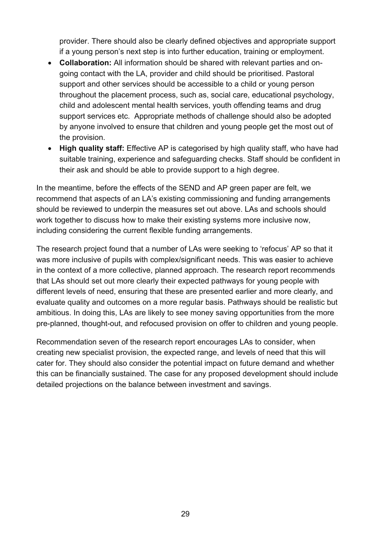provider. There should also be clearly defined objectives and appropriate support if a young person's next step is into further education, training or employment.

- **Collaboration:** All information should be shared with relevant parties and ongoing contact with the LA, provider and child should be prioritised. Pastoral support and other services should be accessible to a child or young person throughout the placement process, such as, social care, educational psychology, child and adolescent mental health services, youth offending teams and drug support services etc. Appropriate methods of challenge should also be adopted by anyone involved to ensure that children and young people get the most out of the provision.
- **High quality staff:** Effective AP is categorised by high quality staff, who have had suitable training, experience and safeguarding checks. Staff should be confident in their ask and should be able to provide support to a high degree.

In the meantime, before the effects of the SEND and AP green paper are felt, we recommend that aspects of an LA's existing commissioning and funding arrangements should be reviewed to underpin the measures set out above. LAs and schools should work together to discuss how to make their existing systems more inclusive now, including considering the current flexible funding arrangements.

The research project found that a number of LAs were seeking to 'refocus' AP so that it was more inclusive of pupils with complex/significant needs. This was easier to achieve in the context of a more collective, planned approach. The research report recommends that LAs should set out more clearly their expected pathways for young people with different levels of need, ensuring that these are presented earlier and more clearly, and evaluate quality and outcomes on a more regular basis. Pathways should be realistic but ambitious. In doing this, LAs are likely to see money saving opportunities from the more pre-planned, thought-out, and refocused provision on offer to children and young people.

Recommendation seven of the research report encourages LAs to consider, when creating new specialist provision, the expected range, and levels of need that this will cater for. They should also consider the potential impact on future demand and whether this can be financially sustained. The case for any proposed development should include detailed projections on the balance between investment and savings.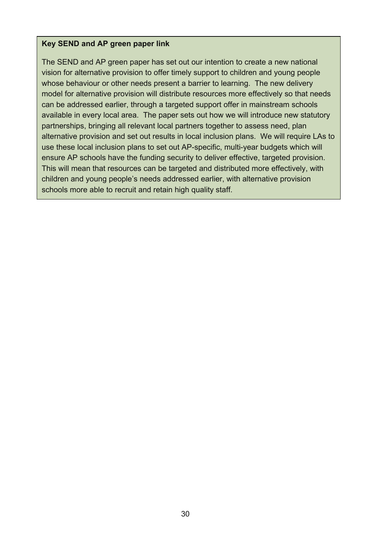#### **Key SEND and AP green paper link**

The SEND and AP green paper has set out our intention to create a new national vision for alternative provision to offer timely support to children and young people whose behaviour or other needs present a barrier to learning. The new delivery model for alternative provision will distribute resources more effectively so that needs can be addressed earlier, through a targeted support offer in mainstream schools available in every local area. The paper sets out how we will introduce new statutory partnerships, bringing all relevant local partners together to assess need, plan alternative provision and set out results in local inclusion plans. We will require LAs to use these local inclusion plans to set out AP-specific, multi-year budgets which will ensure AP schools have the funding security to deliver effective, targeted provision. This will mean that resources can be targeted and distributed more effectively, with children and young people's needs addressed earlier, with alternative provision schools more able to recruit and retain high quality staff.